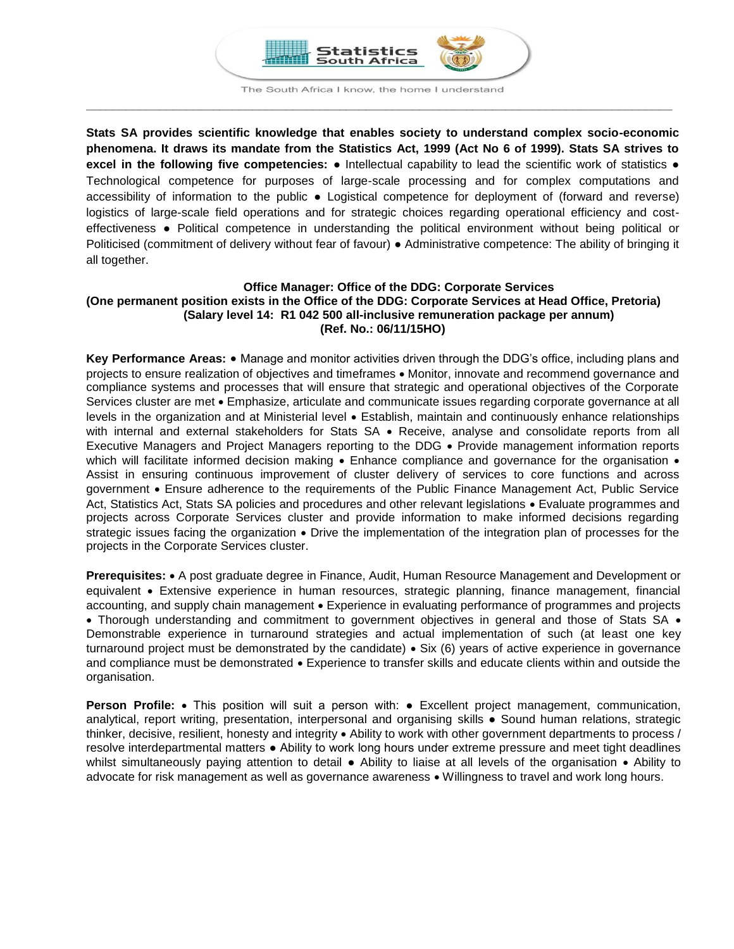

**Stats SA provides scientific knowledge that enables society to understand complex socio-economic phenomena. It draws its mandate from the Statistics Act, 1999 (Act No 6 of 1999). Stats SA strives to excel in the following five competencies:** ● Intellectual capability to lead the scientific work of statistics ● Technological competence for purposes of large-scale processing and for complex computations and accessibility of information to the public ● Logistical competence for deployment of (forward and reverse) logistics of large-scale field operations and for strategic choices regarding operational efficiency and costeffectiveness ● Political competence in understanding the political environment without being political or Politicised (commitment of delivery without fear of favour) ● Administrative competence: The ability of bringing it all together.

### **Office Manager: Office of the DDG: Corporate Services (One permanent position exists in the Office of the DDG: Corporate Services at Head Office, Pretoria) (Salary level 14: R1 042 500 all-inclusive remuneration package per annum) (Ref. No.: 06/11/15HO)**

**Key Performance Areas:** Manage and monitor activities driven through the DDG's office, including plans and projects to ensure realization of objectives and timeframes  $\bullet$  Monitor, innovate and recommend governance and compliance systems and processes that will ensure that strategic and operational objectives of the Corporate Services cluster are met • Emphasize, articulate and communicate issues regarding corporate governance at all levels in the organization and at Ministerial level Establish, maintain and continuously enhance relationships with internal and external stakeholders for Stats SA . Receive, analyse and consolidate reports from all Executive Managers and Project Managers reporting to the DDG Provide management information reports which will facilitate informed decision making  $\bullet$  Enhance compliance and governance for the organisation  $\bullet$ Assist in ensuring continuous improvement of cluster delivery of services to core functions and across government Ensure adherence to the requirements of the Public Finance Management Act, Public Service Act, Statistics Act, Stats SA policies and procedures and other relevant legislations • Evaluate programmes and projects across Corporate Services cluster and provide information to make informed decisions regarding strategic issues facing the organization  $\bullet$  Drive the implementation of the integration plan of processes for the projects in the Corporate Services cluster.

**Prerequisites:** A post graduate degree in Finance, Audit, Human Resource Management and Development or equivalent Extensive experience in human resources, strategic planning, finance management, financial accounting, and supply chain management • Experience in evaluating performance of programmes and projects • Thorough understanding and commitment to government objectives in general and those of Stats SA • Demonstrable experience in turnaround strategies and actual implementation of such (at least one key turnaround project must be demonstrated by the candidate) • Six (6) years of active experience in governance and compliance must be demonstrated  $\bullet$  Experience to transfer skills and educate clients within and outside the organisation.

**Person Profile:** • This position will suit a person with: • Excellent project management, communication, analytical, report writing, presentation, interpersonal and organising skills ● Sound human relations, strategic thinker, decisive, resilient, honesty and integrity Ability to work with other government departments to process / resolve interdepartmental matters ● Ability to work long hours under extreme pressure and meet tight deadlines whilst simultaneously paying attention to detail • Ability to liaise at all levels of the organisation • Ability to advocate for risk management as well as governance awareness • Willingness to travel and work long hours.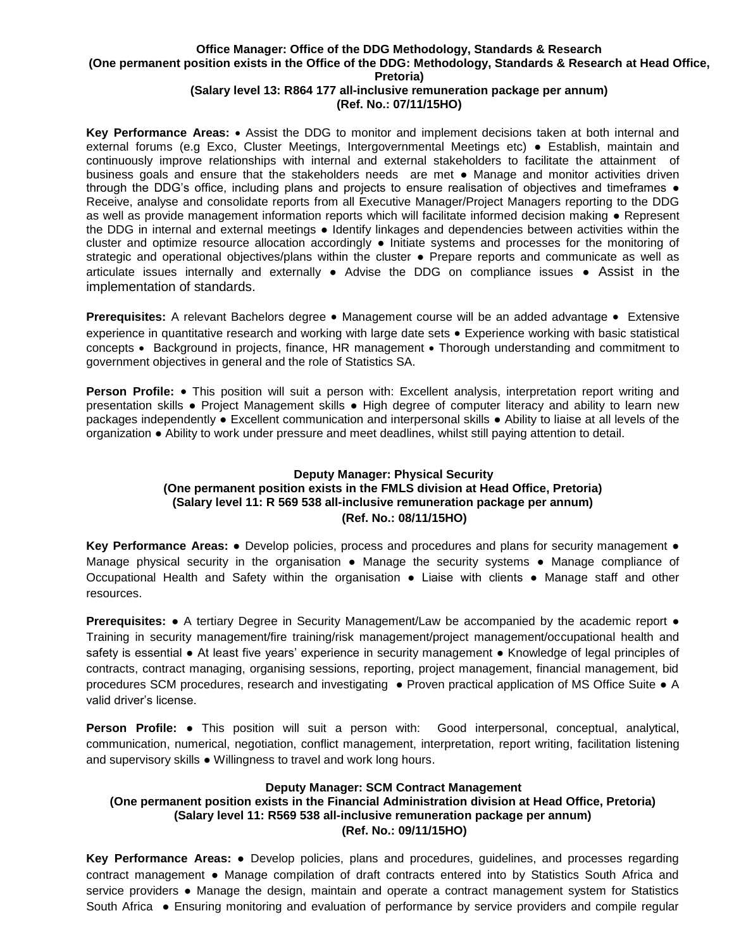# **Office Manager: Office of the DDG Methodology, Standards & Research (One permanent position exists in the Office of the DDG: Methodology, Standards & Research at Head Office, Pretoria)**

## **(Salary level 13: R864 177 all-inclusive remuneration package per annum) (Ref. No.: 07/11/15HO)**

**Key Performance Areas: •** Assist the DDG to monitor and implement decisions taken at both internal and external forums (e.g Exco, Cluster Meetings, Intergovernmental Meetings etc) ● Establish, maintain and continuously improve relationships with internal and external stakeholders to facilitate the attainment of business goals and ensure that the stakeholders needs are met ● Manage and monitor activities driven through the DDG's office, including plans and projects to ensure realisation of objectives and timeframes ● Receive, analyse and consolidate reports from all Executive Manager/Project Managers reporting to the DDG as well as provide management information reports which will facilitate informed decision making ● Represent the DDG in internal and external meetings ● Identify linkages and dependencies between activities within the cluster and optimize resource allocation accordingly ● Initiate systems and processes for the monitoring of strategic and operational objectives/plans within the cluster • Prepare reports and communicate as well as articulate issues internally and externally ● Advise the DDG on compliance issues ● Assist in the implementation of standards.

**Prerequisites:** A relevant Bachelors degree • Management course will be an added advantage • Extensive experience in quantitative research and working with large date sets • Experience working with basic statistical concepts • Background in projects, finance, HR management • Thorough understanding and commitment to government objectives in general and the role of Statistics SA.

**Person Profile:** • This position will suit a person with: Excellent analysis, interpretation report writing and presentation skills ● Project Management skills ● High degree of computer literacy and ability to learn new packages independently ● Excellent communication and interpersonal skills ● Ability to liaise at all levels of the organization ● Ability to work under pressure and meet deadlines, whilst still paying attention to detail.

# **Deputy Manager: Physical Security (One permanent position exists in the FMLS division at Head Office, Pretoria) (Salary level 11: R 569 538 all-inclusive remuneration package per annum) (Ref. No.: 08/11/15HO)**

**Key Performance Areas: ●** Develop policies, process and procedures and plans for security management ● Manage physical security in the organisation • Manage the security systems • Manage compliance of Occupational Health and Safety within the organisation ● Liaise with clients ● Manage staff and other resources.

**Prerequisites: •** A tertiary Degree in Security Management/Law be accompanied by the academic report • Training in security management/fire training/risk management/project management/occupational health and safety is essential • At least five years' experience in security management • Knowledge of legal principles of contracts, contract managing, organising sessions, reporting, project management, financial management, bid procedures SCM procedures, research and investigating ● Proven practical application of MS Office Suite ● A valid driver's license.

**Person Profile:** ● This position will suit a person with: Good interpersonal, conceptual, analytical, communication, numerical, negotiation, conflict management, interpretation, report writing, facilitation listening and supervisory skills ● Willingness to travel and work long hours.

### **Deputy Manager: SCM Contract Management**

# **(One permanent position exists in the Financial Administration division at Head Office, Pretoria) (Salary level 11: R569 538 all-inclusive remuneration package per annum) (Ref. No.: 09/11/15HO)**

**Key Performance Areas:** ● Develop policies, plans and procedures, guidelines, and processes regarding contract management ● Manage compilation of draft contracts entered into by Statistics South Africa and service providers • Manage the design, maintain and operate a contract management system for Statistics South Africa ● Ensuring monitoring and evaluation of performance by service providers and compile regular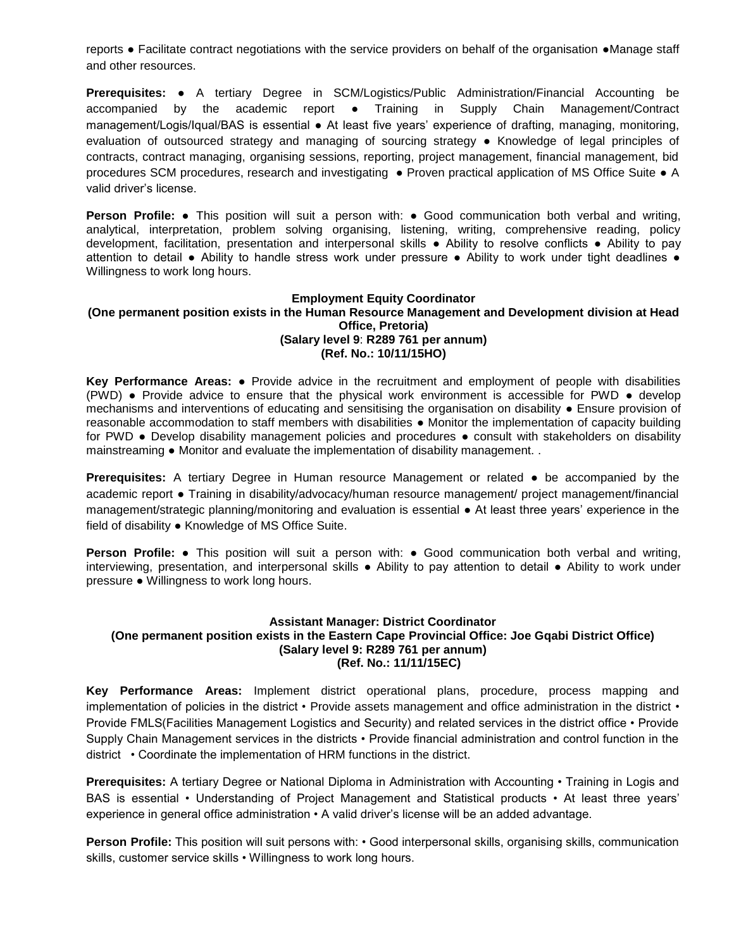reports ● Facilitate contract negotiations with the service providers on behalf of the organisation ●Manage staff and other resources.

**Prerequisites:** ● A tertiary Degree in SCM/Logistics/Public Administration/Financial Accounting be accompanied by the academic report ● Training in Supply Chain Management/Contract management/Logis/Iqual/BAS is essential ● At least five years' experience of drafting, managing, monitoring, evaluation of outsourced strategy and managing of sourcing strategy ● Knowledge of legal principles of contracts, contract managing, organising sessions, reporting, project management, financial management, bid procedures SCM procedures, research and investigating ● Proven practical application of MS Office Suite ● A valid driver's license.

**Person Profile:** ● This position will suit a person with: ● Good communication both verbal and writing, analytical, interpretation, problem solving organising, listening, writing, comprehensive reading, policy development, facilitation, presentation and interpersonal skills ● Ability to resolve conflicts ● Ability to pay attention to detail ● Ability to handle stress work under pressure ● Ability to work under tight deadlines ● Willingness to work long hours.

### **Employment Equity Coordinator (One permanent position exists in the Human Resource Management and Development division at Head Office, Pretoria) (Salary level 9**: **R289 761 per annum) (Ref. No.: 10/11/15HO)**

**Key Performance Areas:** ● Provide advice in the recruitment and employment of people with disabilities (PWD) ● Provide advice to ensure that the physical work environment is accessible for PWD ● develop mechanisms and interventions of educating and sensitising the organisation on disability ● Ensure provision of reasonable accommodation to staff members with disabilities ● Monitor the implementation of capacity building for PWD • Develop disability management policies and procedures • consult with stakeholders on disability mainstreaming ● Monitor and evaluate the implementation of disability management. .

**Prerequisites:** A tertiary Degree in Human resource Management or related ● be accompanied by the academic report ● Training in disability/advocacy/human resource management/ project management/financial management/strategic planning/monitoring and evaluation is essential ● At least three years' experience in the field of disability ● Knowledge of MS Office Suite.

**Person Profile:** ● This position will suit a person with: ● Good communication both verbal and writing, interviewing, presentation, and interpersonal skills ● Ability to pay attention to detail ● Ability to work under pressure ● Willingness to work long hours.

## **Assistant Manager: District Coordinator (One permanent position exists in the Eastern Cape Provincial Office: Joe Gqabi District Office) (Salary level 9: R289 761 per annum) (Ref. No.: 11/11/15EC)**

**Key Performance Areas:** Implement district operational plans, procedure, process mapping and implementation of policies in the district • Provide assets management and office administration in the district • Provide FMLS(Facilities Management Logistics and Security) and related services in the district office • Provide Supply Chain Management services in the districts • Provide financial administration and control function in the district • Coordinate the implementation of HRM functions in the district.

**Prerequisites:** A tertiary Degree or National Diploma in Administration with Accounting • Training in Logis and BAS is essential • Understanding of Project Management and Statistical products • At least three years' experience in general office administration • A valid driver's license will be an added advantage.

**Person Profile:** This position will suit persons with: • Good interpersonal skills, organising skills, communication skills, customer service skills • Willingness to work long hours.